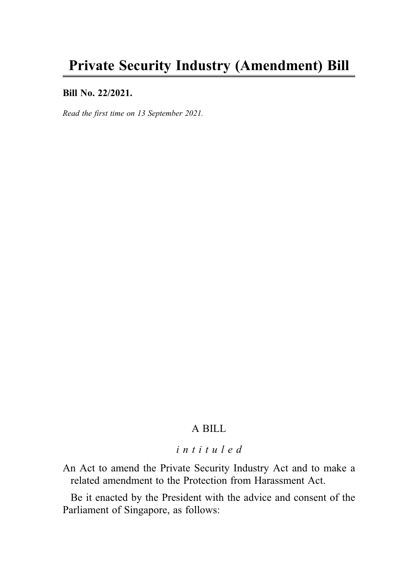### Bill No. 22/2021.

Read the first time on 13 September 2021.

# A BILL

# intituled

An Act to amend the Private Security Industry Act and to make a related amendment to the Protection from Harassment Act.

Be it enacted by the President with the advice and consent of the Parliament of Singapore, as follows: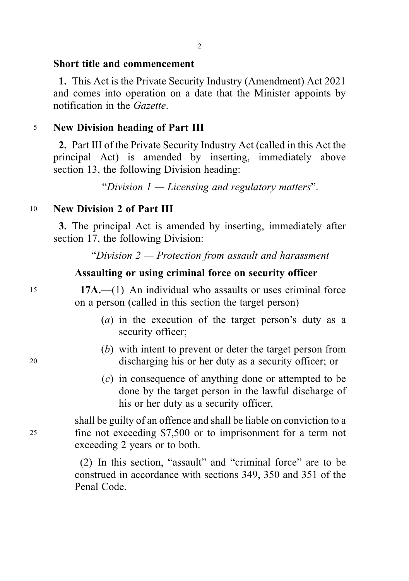#### Short title and commencement

1. This Act is the Private Security Industry (Amendment) Act 2021 and comes into operation on a date that the Minister appoints by notification in the Gazette.

## <sup>5</sup> New Division heading of Part III

2. Part III of the Private Security Industry Act (called in this Act the principal Act) is amended by inserting, immediately above section 13, the following Division heading:

"Division  $1 -$ Licensing and regulatory matters".

## <sup>10</sup> New Division 2 of Part III

3. The principal Act is amended by inserting, immediately after section 17, the following Division:

"Division 2 — Protection from assault and harassment

## Assaulting or using criminal force on security officer

<sup>15</sup> 17A.—(1) An individual who assaults or uses criminal force on a person (called in this section the target person) —

- (a) in the execution of the target person's duty as a security officer;
- (b) with intent to prevent or deter the target person from <sup>20</sup> discharging his or her duty as a security officer; or
	- (c) in consequence of anything done or attempted to be done by the target person in the lawful discharge of his or her duty as a security officer,

shall be guilty of an offence and shall be liable on conviction to a <sup>25</sup> fine not exceeding \$7,500 or to imprisonment for a term not exceeding 2 years or to both.

> (2) In this section, "assault" and "criminal force" are to be construed in accordance with sections 349, 350 and 351 of the Penal Code.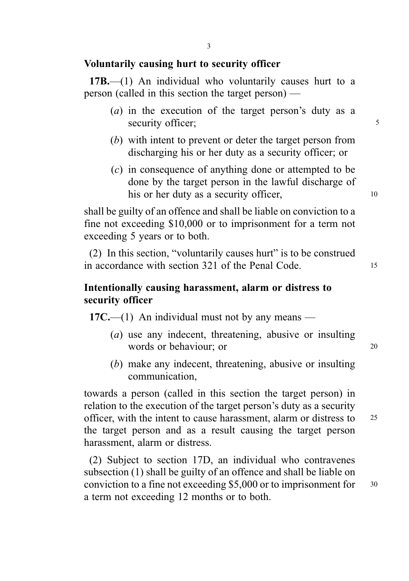## Voluntarily causing hurt to security officer

17B.—(1) An individual who voluntarily causes hurt to a person (called in this section the target person) —

- (a) in the execution of the target person's duty as a security officer;  $\frac{5}{5}$
- (b) with intent to prevent or deter the target person from discharging his or her duty as a security officer; or
- (c) in consequence of anything done or attempted to be done by the target person in the lawful discharge of his or her duty as a security officer,  $10$

shall be guilty of an offence and shall be liable on conviction to a fine not exceeding \$10,000 or to imprisonment for a term not exceeding 5 years or to both.

(2) In this section, "voluntarily causes hurt" is to be construed in accordance with section 321 of the Penal Code. 15

# Intentionally causing harassment, alarm or distress to security officer

 $17C$ —(1) An individual must not by any means —

- (a) use any indecent, threatening, abusive or insulting words or behaviour; or 20
- (b) make any indecent, threatening, abusive or insulting communication,

towards a person (called in this section the target person) in relation to the execution of the target person's duty as a security officer, with the intent to cause harassment, alarm or distress to <sup>25</sup> the target person and as a result causing the target person harassment, alarm or distress.

(2) Subject to section 17D, an individual who contravenes subsection (1) shall be guilty of an offence and shall be liable on conviction to a fine not exceeding \$5,000 or to imprisonment for <sup>30</sup> a term not exceeding 12 months or to both.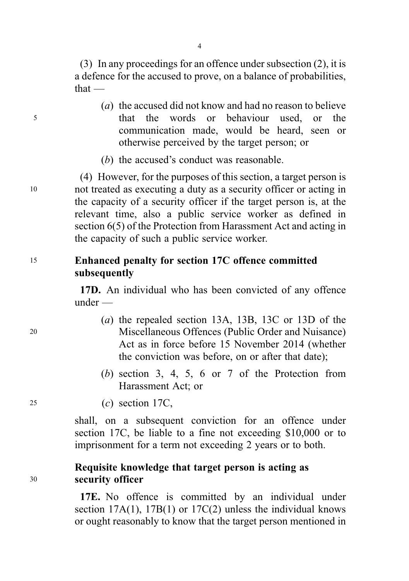4

(3) In any proceedings for an offence under subsection (2), it is a defence for the accused to prove, on a balance of probabilities, that —

- (a) the accused did not know and had no reason to believe <sup>5</sup> that the words or behaviour used, or the communication made, would be heard, seen or otherwise perceived by the target person; or
	- (b) the accused's conduct was reasonable.

(4) However, for the purposes of this section, a target person is <sup>10</sup> not treated as executing a duty as a security officer or acting in the capacity of a security officer if the target person is, at the relevant time, also a public service worker as defined in section 6(5) of the Protection from Harassment Act and acting in the capacity of such a public service worker.

# <sup>15</sup> Enhanced penalty for section 17C offence committed subsequently

17D. An individual who has been convicted of any offence under —

- (a) the repealed section 13A, 13B, 13C or 13D of the <sup>20</sup> Miscellaneous Offences (Public Order and Nuisance) Act as in force before 15 November 2014 (whether the conviction was before, on or after that date);
	- (b) section 3, 4, 5, 6 or 7 of the Protection from Harassment Act; or

<sup>25</sup> (c) section 17C,

shall, on a subsequent conviction for an offence under section 17C, be liable to a fine not exceeding \$10,000 or to imprisonment for a term not exceeding 2 years or to both.

# Requisite knowledge that target person is acting as <sup>30</sup> security officer

17E. No offence is committed by an individual under section  $17A(1)$ ,  $17B(1)$  or  $17C(2)$  unless the individual knows or ought reasonably to know that the target person mentioned in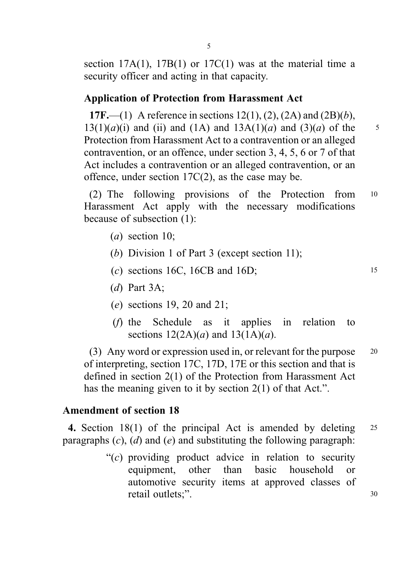section  $17A(1)$ ,  $17B(1)$  or  $17C(1)$  was at the material time a security officer and acting in that capacity.

# Application of Protection from Harassment Act

17F.—(1) A reference in sections  $12(1)$ ,  $(2)$ ,  $(2A)$  and  $(2B)(b)$ ,  $13(1)(a)(i)$  and (ii) and (1A) and  $13A(1)(a)$  and  $(3)(a)$  of the 5 Protection from Harassment Act to a contravention or an alleged contravention, or an offence, under section 3, 4, 5, 6 or 7 of that Act includes a contravention or an alleged contravention, or an offence, under section 17C(2), as the case may be.

(2) The following provisions of the Protection from <sup>10</sup> Harassment Act apply with the necessary modifications because of subsection (1):

- $(a)$  section 10;
- (b) Division 1 of Part 3 (except section 11);
- (c) sections 16C, 16CB and 16D;  $15$
- $(d)$  Part 3A:
- (e) sections 19, 20 and 21;
- (f) the Schedule as it applies in relation to sections  $12(2A)(a)$  and  $13(1A)(a)$ .

(3) Any word or expression used in, or relevant for the purpose <sup>20</sup> of interpreting, section 17C, 17D, 17E or this section and that is defined in section 2(1) of the Protection from Harassment Act has the meaning given to it by section 2(1) of that Act.".

## Amendment of section 18

4. Section 18(1) of the principal Act is amended by deleting 25 paragraphs  $(c)$ ,  $(d)$  and  $(e)$  and substituting the following paragraph:

> " $(c)$  providing product advice in relation to security equipment, other than basic household or automotive security items at approved classes of retail outlets;". 30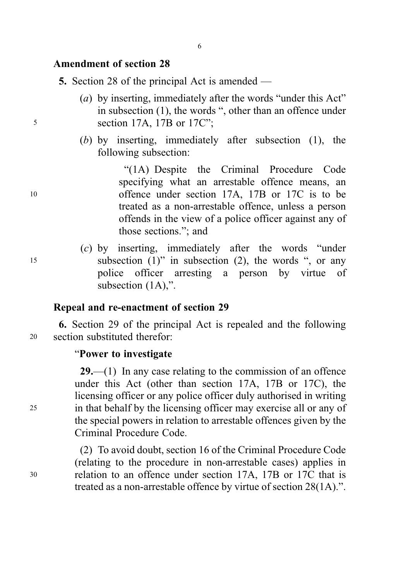## Amendment of section 28

5. Section 28 of the principal Act is amended —

- (a) by inserting, immediately after the words "under this Act" in subsection (1), the words ", other than an offence under <sup>5</sup> section 17A, 17B or 17C";
	- (b) by inserting, immediately after subsection (1), the following subsection:

"(1A) Despite the Criminal Procedure Code specifying what an arrestable offence means, an <sup>10</sup> offence under section 17A, 17B or 17C is to be treated as a non-arrestable offence, unless a person offends in the view of a police officer against any of those sections."; and

(c) by inserting, immediately after the words "under <sup>15</sup> subsection (1)" in subsection (2), the words ", or any police officer arresting a person by virtue of subsection  $(1A)$ ,".

## Repeal and re-enactment of section 29

6. Section 29 of the principal Act is repealed and the following <sup>20</sup> section substituted therefor:

#### "Power to investigate

29.—(1) In any case relating to the commission of an offence under this Act (other than section 17A, 17B or 17C), the licensing officer or any police officer duly authorised in writing <sup>25</sup> in that behalf by the licensing officer may exercise all or any of the special powers in relation to arrestable offences given by the Criminal Procedure Code.

(2) To avoid doubt, section 16 of the Criminal Procedure Code (relating to the procedure in non-arrestable cases) applies in <sup>30</sup> relation to an offence under section 17A, 17B or 17C that is treated as a non-arrestable offence by virtue of section 28(1A).".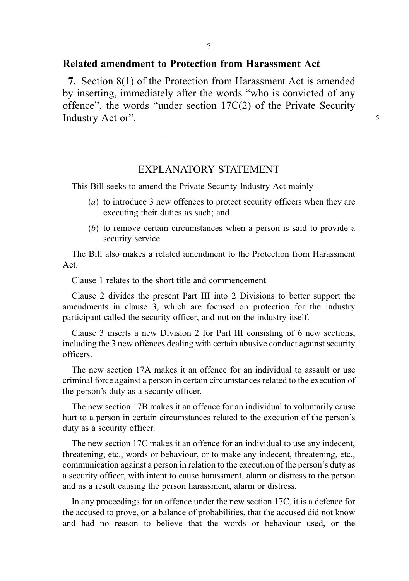## Related amendment to Protection from Harassment Act

7. Section 8(1) of the Protection from Harassment Act is amended by inserting, immediately after the words "who is convicted of any offence", the words "under section 17C(2) of the Private Security Industry Act or". 5

### EXPLANATORY STATEMENT

This Bill seeks to amend the Private Security Industry Act mainly —

- (a) to introduce 3 new offences to protect security officers when they are executing their duties as such; and
- (b) to remove certain circumstances when a person is said to provide a security service.

The Bill also makes a related amendment to the Protection from Harassment Act.

Clause 1 relates to the short title and commencement.

Clause 2 divides the present Part III into 2 Divisions to better support the amendments in clause 3, which are focused on protection for the industry participant called the security officer, and not on the industry itself.

Clause 3 inserts a new Division 2 for Part III consisting of 6 new sections, including the 3 new offences dealing with certain abusive conduct against security officers.

The new section 17A makes it an offence for an individual to assault or use criminal force against a person in certain circumstances related to the execution of the person's duty as a security officer.

The new section 17B makes it an offence for an individual to voluntarily cause hurt to a person in certain circumstances related to the execution of the person's duty as a security officer.

The new section 17C makes it an offence for an individual to use any indecent, threatening, etc., words or behaviour, or to make any indecent, threatening, etc., communication against a person in relation to the execution of the person's duty as a security officer, with intent to cause harassment, alarm or distress to the person and as a result causing the person harassment, alarm or distress.

In any proceedings for an offence under the new section 17C, it is a defence for the accused to prove, on a balance of probabilities, that the accused did not know and had no reason to believe that the words or behaviour used, or the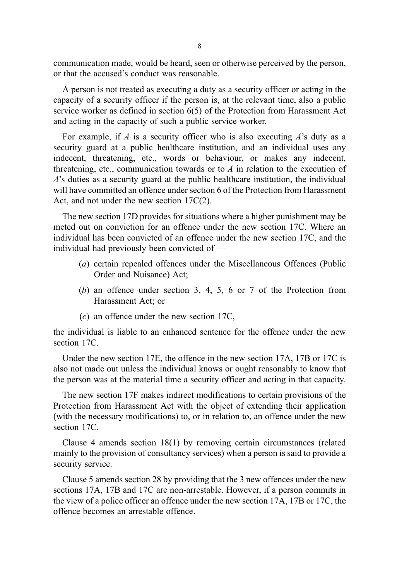communication made, would be heard, seen or otherwise perceived by the person, or that the accused's conduct was reasonable.

A person is not treated as executing a duty as a security officer or acting in the capacity of a security officer if the person is, at the relevant time, also a public service worker as defined in section 6(5) of the Protection from Harassment Act and acting in the capacity of such a public service worker.

For example, if  $A$  is a security officer who is also executing  $A$ 's duty as a security guard at a public healthcare institution, and an individual uses any indecent, threatening, etc., words or behaviour, or makes any indecent, threatening, etc., communication towards or to  $A$  in relation to the execution of  $\vec{A}$ 's duties as a security guard at the public healthcare institution, the individual will have committed an offence under section 6 of the Protection from Harassment Act, and not under the new section 17C(2).

The new section 17D provides for situations where a higher punishment may be meted out on conviction for an offence under the new section 17C. Where an individual has been convicted of an offence under the new section 17C, and the individual had previously been convicted of —

- (a) certain repealed offences under the Miscellaneous Offences (Public Order and Nuisance) Act;
- (b) an offence under section 3, 4, 5, 6 or 7 of the Protection from Harassment Act; or
- $(c)$  an offence under the new section 17C.

the individual is liable to an enhanced sentence for the offence under the new section 17C.

Under the new section 17E, the offence in the new section 17A, 17B or 17C is also not made out unless the individual knows or ought reasonably to know that the person was at the material time a security officer and acting in that capacity.

The new section 17F makes indirect modifications to certain provisions of the Protection from Harassment Act with the object of extending their application (with the necessary modifications) to, or in relation to, an offence under the new section 17C.

Clause 4 amends section 18(1) by removing certain circumstances (related mainly to the provision of consultancy services) when a person is said to provide a security service.

Clause 5 amends section 28 by providing that the 3 new offences under the new sections 17A, 17B and 17C are non-arrestable. However, if a person commits in the view of a police officer an offence under the new section 17A, 17B or 17C, the offence becomes an arrestable offence.